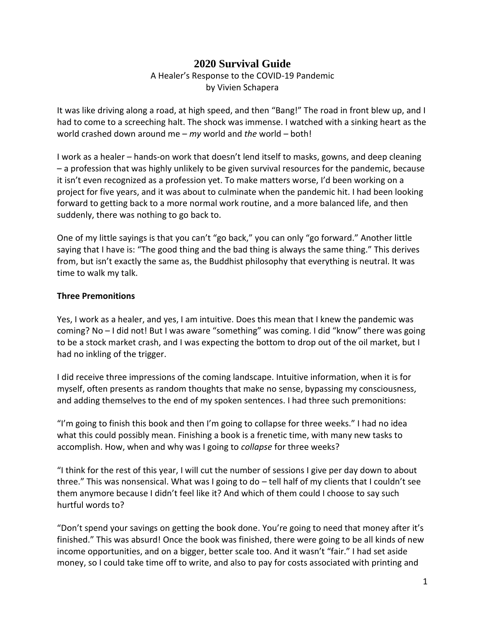# **2020 Survival Guide**

## A Healer's Response to the COVID-19 Pandemic by Vivien Schapera

It was like driving along a road, at high speed, and then "Bang!" The road in front blew up, and I had to come to a screeching halt. The shock was immense. I watched with a sinking heart as the world crashed down around me – *my* world and *the* world – both!

I work as a healer – hands-on work that doesn't lend itself to masks, gowns, and deep cleaning – a profession that was highly unlikely to be given survival resources for the pandemic, because it isn't even recognized as a profession yet. To make matters worse, I'd been working on a project for five years, and it was about to culminate when the pandemic hit. I had been looking forward to getting back to a more normal work routine, and a more balanced life, and then suddenly, there was nothing to go back to.

One of my little sayings is that you can't "go back," you can only "go forward." Another little saying that I have is: "The good thing and the bad thing is always the same thing." This derives from, but isn't exactly the same as, the Buddhist philosophy that everything is neutral. It was time to walk my talk.

### **Three Premonitions**

Yes, I work as a healer, and yes, I am intuitive. Does this mean that I knew the pandemic was coming? No – I did not! But I was aware "something" was coming. I did "know" there was going to be a stock market crash, and I was expecting the bottom to drop out of the oil market, but I had no inkling of the trigger.

I did receive three impressions of the coming landscape. Intuitive information, when it is for myself, often presents as random thoughts that make no sense, bypassing my consciousness, and adding themselves to the end of my spoken sentences. I had three such premonitions:

"I'm going to finish this book and then I'm going to collapse for three weeks." I had no idea what this could possibly mean. Finishing a book is a frenetic time, with many new tasks to accomplish. How, when and why was I going to *collapse* for three weeks?

"I think for the rest of this year, I will cut the number of sessions I give per day down to about three." This was nonsensical. What was I going to do – tell half of my clients that I couldn't see them anymore because I didn't feel like it? And which of them could I choose to say such hurtful words to?

"Don't spend your savings on getting the book done. You're going to need that money after it's finished." This was absurd! Once the book was finished, there were going to be all kinds of new income opportunities, and on a bigger, better scale too. And it wasn't "fair." I had set aside money, so I could take time off to write, and also to pay for costs associated with printing and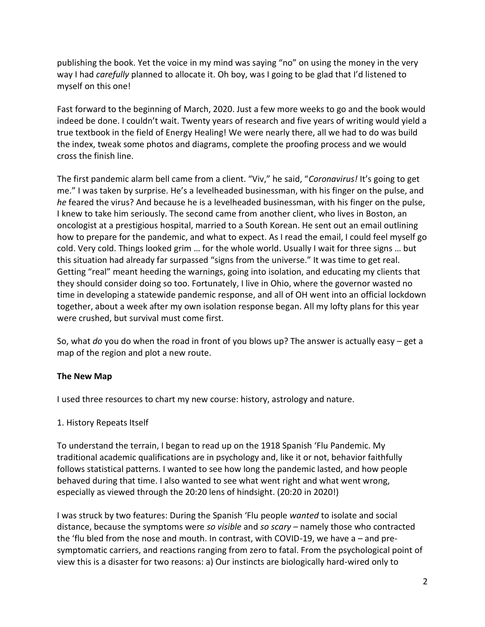publishing the book. Yet the voice in my mind was saying "no" on using the money in the very way I had *carefully* planned to allocate it. Oh boy, was I going to be glad that I'd listened to myself on this one!

Fast forward to the beginning of March, 2020. Just a few more weeks to go and the book would indeed be done. I couldn't wait. Twenty years of research and five years of writing would yield a true textbook in the field of Energy Healing! We were nearly there, all we had to do was build the index, tweak some photos and diagrams, complete the proofing process and we would cross the finish line.

The first pandemic alarm bell came from a client. "Viv," he said, "*Coronavirus!* It's going to get me." I was taken by surprise. He's a levelheaded businessman, with his finger on the pulse, and *he* feared the virus? And because he is a levelheaded businessman, with his finger on the pulse, I knew to take him seriously. The second came from another client, who lives in Boston, an oncologist at a prestigious hospital, married to a South Korean. He sent out an email outlining how to prepare for the pandemic, and what to expect. As I read the email, I could feel myself go cold. Very cold. Things looked grim … for the whole world. Usually I wait for three signs … but this situation had already far surpassed "signs from the universe." It was time to get real. Getting "real" meant heeding the warnings, going into isolation, and educating my clients that they should consider doing so too. Fortunately, I live in Ohio, where the governor wasted no time in developing a statewide pandemic response, and all of OH went into an official lockdown together, about a week after my own isolation response began. All my lofty plans for this year were crushed, but survival must come first.

So, what *do* you do when the road in front of you blows up? The answer is actually easy – get a map of the region and plot a new route.

## **The New Map**

I used three resources to chart my new course: history, astrology and nature.

## 1. History Repeats Itself

To understand the terrain, I began to read up on the 1918 Spanish 'Flu Pandemic. My traditional academic qualifications are in psychology and, like it or not, behavior faithfully follows statistical patterns. I wanted to see how long the pandemic lasted, and how people behaved during that time. I also wanted to see what went right and what went wrong, especially as viewed through the 20:20 lens of hindsight. (20:20 in 2020!)

I was struck by two features: During the Spanish 'Flu people *wanted* to isolate and social distance, because the symptoms were *so visible* and *so scary* – namely those who contracted the 'flu bled from the nose and mouth. In contrast, with COVID-19, we have a – and presymptomatic carriers, and reactions ranging from zero to fatal. From the psychological point of view this is a disaster for two reasons: a) Our instincts are biologically hard-wired only to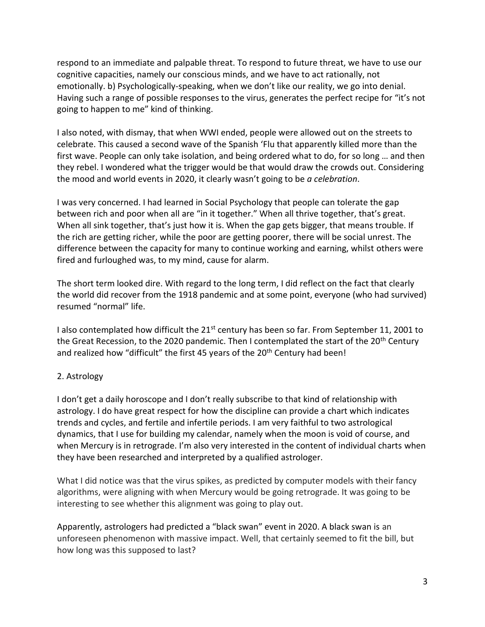respond to an immediate and palpable threat. To respond to future threat, we have to use our cognitive capacities, namely our conscious minds, and we have to act rationally, not emotionally. b) Psychologically-speaking, when we don't like our reality, we go into denial. Having such a range of possible responses to the virus, generates the perfect recipe for "it's not going to happen to me" kind of thinking.

I also noted, with dismay, that when WWI ended, people were allowed out on the streets to celebrate. This caused a second wave of the Spanish 'Flu that apparently killed more than the first wave. People can only take isolation, and being ordered what to do, for so long … and then they rebel. I wondered what the trigger would be that would draw the crowds out. Considering the mood and world events in 2020, it clearly wasn't going to be *a celebration*.

I was very concerned. I had learned in Social Psychology that people can tolerate the gap between rich and poor when all are "in it together." When all thrive together, that's great. When all sink together, that's just how it is. When the gap gets bigger, that means trouble. If the rich are getting richer, while the poor are getting poorer, there will be social unrest. The difference between the capacity for many to continue working and earning, whilst others were fired and furloughed was, to my mind, cause for alarm.

The short term looked dire. With regard to the long term, I did reflect on the fact that clearly the world did recover from the 1918 pandemic and at some point, everyone (who had survived) resumed "normal" life.

I also contemplated how difficult the  $21^{st}$  century has been so far. From September 11, 2001 to the Great Recession, to the 2020 pandemic. Then I contemplated the start of the 20<sup>th</sup> Century and realized how "difficult" the first 45 years of the 20<sup>th</sup> Century had been!

## 2. Astrology

I don't get a daily horoscope and I don't really subscribe to that kind of relationship with astrology. I do have great respect for how the discipline can provide a chart which indicates trends and cycles, and fertile and infertile periods. I am very faithful to two astrological dynamics, that I use for building my calendar, namely when the moon is void of course, and when Mercury is in retrograde. I'm also very interested in the content of individual charts when they have been researched and interpreted by a qualified astrologer.

What I did notice was that the virus spikes, as predicted by computer models with their fancy algorithms, were aligning with when Mercury would be going retrograde. It was going to be interesting to see whether this alignment was going to play out.

Apparently, astrologers had predicted a "black swan" event in 2020. A black swan is an unforeseen phenomenon with massive impact. Well, that certainly seemed to fit the bill, but how long was this supposed to last?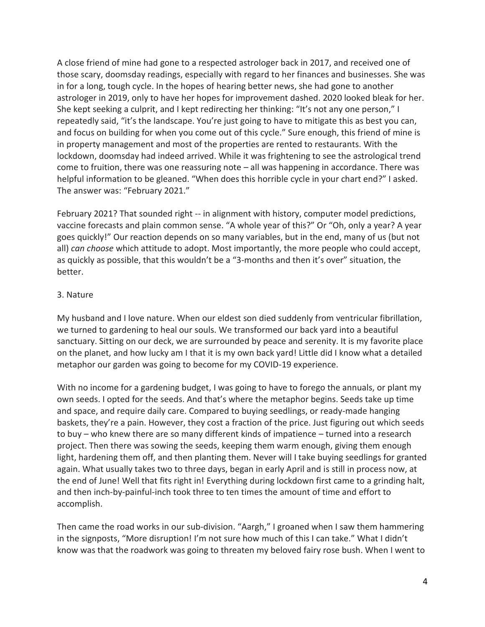A close friend of mine had gone to a respected astrologer back in 2017, and received one of those scary, doomsday readings, especially with regard to her finances and businesses. She was in for a long, tough cycle. In the hopes of hearing better news, she had gone to another astrologer in 2019, only to have her hopes for improvement dashed. 2020 looked bleak for her. She kept seeking a culprit, and I kept redirecting her thinking: "It's not any one person," I repeatedly said, "it's the landscape. You're just going to have to mitigate this as best you can, and focus on building for when you come out of this cycle." Sure enough, this friend of mine is in property management and most of the properties are rented to restaurants. With the lockdown, doomsday had indeed arrived. While it was frightening to see the astrological trend come to fruition, there was one reassuring note – all was happening in accordance. There was helpful information to be gleaned. "When does this horrible cycle in your chart end?" I asked. The answer was: "February 2021."

February 2021? That sounded right -- in alignment with history, computer model predictions, vaccine forecasts and plain common sense. "A whole year of this?" Or "Oh, only a year? A year goes quickly!" Our reaction depends on so many variables, but in the end, many of us (but not all) *can choose* which attitude to adopt. Most importantly, the more people who could accept, as quickly as possible, that this wouldn't be a "3-months and then it's over" situation, the better.

### 3. Nature

My husband and I love nature. When our eldest son died suddenly from ventricular fibrillation, we turned to gardening to heal our souls. We transformed our back yard into a beautiful sanctuary. Sitting on our deck, we are surrounded by peace and serenity. It is my favorite place on the planet, and how lucky am I that it is my own back yard! Little did I know what a detailed metaphor our garden was going to become for my COVID-19 experience.

With no income for a gardening budget, I was going to have to forego the annuals, or plant my own seeds. I opted for the seeds. And that's where the metaphor begins. Seeds take up time and space, and require daily care. Compared to buying seedlings, or ready-made hanging baskets, they're a pain. However, they cost a fraction of the price. Just figuring out which seeds to buy – who knew there are so many different kinds of impatience – turned into a research project. Then there was sowing the seeds, keeping them warm enough, giving them enough light, hardening them off, and then planting them. Never will I take buying seedlings for granted again. What usually takes two to three days, began in early April and is still in process now, at the end of June! Well that fits right in! Everything during lockdown first came to a grinding halt, and then inch-by-painful-inch took three to ten times the amount of time and effort to accomplish.

Then came the road works in our sub-division. "Aargh," I groaned when I saw them hammering in the signposts, "More disruption! I'm not sure how much of this I can take." What I didn't know was that the roadwork was going to threaten my beloved fairy rose bush. When I went to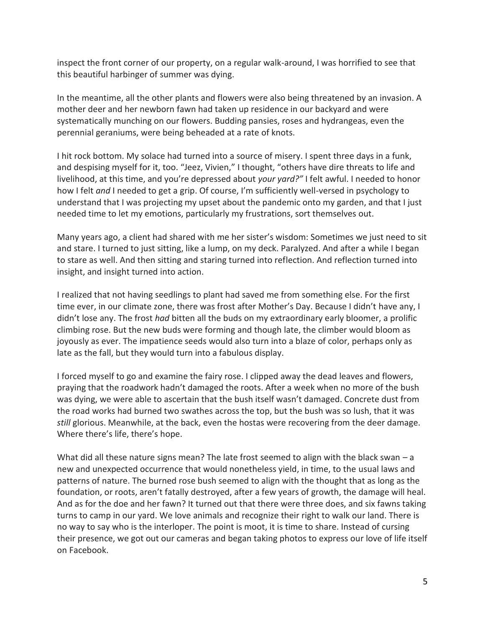inspect the front corner of our property, on a regular walk-around, I was horrified to see that this beautiful harbinger of summer was dying.

In the meantime, all the other plants and flowers were also being threatened by an invasion. A mother deer and her newborn fawn had taken up residence in our backyard and were systematically munching on our flowers. Budding pansies, roses and hydrangeas, even the perennial geraniums, were being beheaded at a rate of knots.

I hit rock bottom. My solace had turned into a source of misery. I spent three days in a funk, and despising myself for it, too. "Jeez, Vivien," I thought, "others have dire threats to life and livelihood, at this time, and you're depressed about *your yard?"* I felt awful. I needed to honor how I felt *and* I needed to get a grip. Of course, I'm sufficiently well-versed in psychology to understand that I was projecting my upset about the pandemic onto my garden, and that I just needed time to let my emotions, particularly my frustrations, sort themselves out.

Many years ago, a client had shared with me her sister's wisdom: Sometimes we just need to sit and stare. I turned to just sitting, like a lump, on my deck. Paralyzed. And after a while I began to stare as well. And then sitting and staring turned into reflection. And reflection turned into insight, and insight turned into action.

I realized that not having seedlings to plant had saved me from something else. For the first time ever, in our climate zone, there was frost after Mother's Day. Because I didn't have any, I didn't lose any. The frost *had* bitten all the buds on my extraordinary early bloomer, a prolific climbing rose. But the new buds were forming and though late, the climber would bloom as joyously as ever. The impatience seeds would also turn into a blaze of color, perhaps only as late as the fall, but they would turn into a fabulous display.

I forced myself to go and examine the fairy rose. I clipped away the dead leaves and flowers, praying that the roadwork hadn't damaged the roots. After a week when no more of the bush was dying, we were able to ascertain that the bush itself wasn't damaged. Concrete dust from the road works had burned two swathes across the top, but the bush was so lush, that it was *still* glorious. Meanwhile, at the back, even the hostas were recovering from the deer damage. Where there's life, there's hope.

What did all these nature signs mean? The late frost seemed to align with the black swan  $-a$ new and unexpected occurrence that would nonetheless yield, in time, to the usual laws and patterns of nature. The burned rose bush seemed to align with the thought that as long as the foundation, or roots, aren't fatally destroyed, after a few years of growth, the damage will heal. And as for the doe and her fawn? It turned out that there were three does, and six fawns taking turns to camp in our yard. We love animals and recognize their right to walk our land. There is no way to say who is the interloper. The point is moot, it is time to share. Instead of cursing their presence, we got out our cameras and began taking photos to express our love of life itself on Facebook.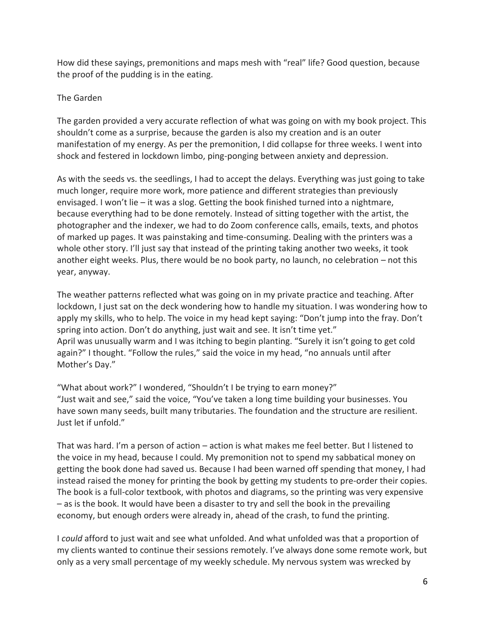How did these sayings, premonitions and maps mesh with "real" life? Good question, because the proof of the pudding is in the eating.

## The Garden

The garden provided a very accurate reflection of what was going on with my book project. This shouldn't come as a surprise, because the garden is also my creation and is an outer manifestation of my energy. As per the premonition, I did collapse for three weeks. I went into shock and festered in lockdown limbo, ping-ponging between anxiety and depression.

As with the seeds vs. the seedlings, I had to accept the delays. Everything was just going to take much longer, require more work, more patience and different strategies than previously envisaged. I won't lie – it was a slog. Getting the book finished turned into a nightmare, because everything had to be done remotely. Instead of sitting together with the artist, the photographer and the indexer, we had to do Zoom conference calls, emails, texts, and photos of marked up pages. It was painstaking and time-consuming. Dealing with the printers was a whole other story. I'll just say that instead of the printing taking another two weeks, it took another eight weeks. Plus, there would be no book party, no launch, no celebration – not this year, anyway.

The weather patterns reflected what was going on in my private practice and teaching. After lockdown, I just sat on the deck wondering how to handle my situation. I was wondering how to apply my skills, who to help. The voice in my head kept saying: "Don't jump into the fray. Don't spring into action. Don't do anything, just wait and see. It isn't time yet." April was unusually warm and I was itching to begin planting. "Surely it isn't going to get cold again?" I thought. "Follow the rules," said the voice in my head, "no annuals until after Mother's Day."

"What about work?" I wondered, "Shouldn't I be trying to earn money?" "Just wait and see," said the voice, "You've taken a long time building your businesses. You have sown many seeds, built many tributaries. The foundation and the structure are resilient. Just let if unfold."

That was hard. I'm a person of action – action is what makes me feel better. But I listened to the voice in my head, because I could. My premonition not to spend my sabbatical money on getting the book done had saved us. Because I had been warned off spending that money, I had instead raised the money for printing the book by getting my students to pre-order their copies. The book is a full-color textbook, with photos and diagrams, so the printing was very expensive – as is the book. It would have been a disaster to try and sell the book in the prevailing economy, but enough orders were already in, ahead of the crash, to fund the printing.

I *could* afford to just wait and see what unfolded. And what unfolded was that a proportion of my clients wanted to continue their sessions remotely. I've always done some remote work, but only as a very small percentage of my weekly schedule. My nervous system was wrecked by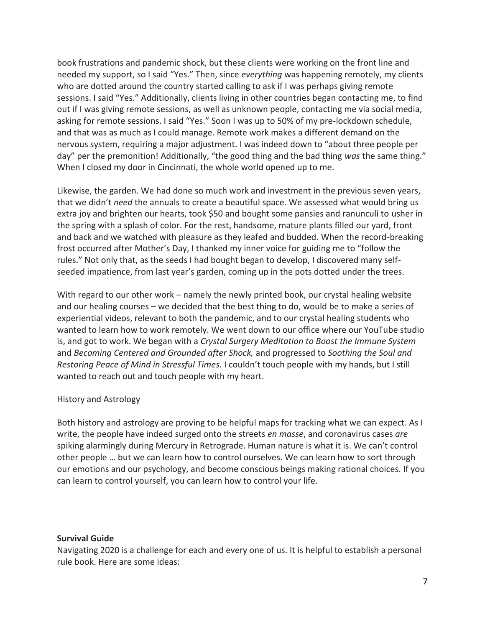book frustrations and pandemic shock, but these clients were working on the front line and needed my support, so I said "Yes." Then, since *everything* was happening remotely, my clients who are dotted around the country started calling to ask if I was perhaps giving remote sessions. I said "Yes." Additionally, clients living in other countries began contacting me, to find out if I was giving remote sessions, as well as unknown people, contacting me via social media, asking for remote sessions. I said "Yes." Soon I was up to 50% of my pre-lockdown schedule, and that was as much as I could manage. Remote work makes a different demand on the nervous system, requiring a major adjustment. I was indeed down to "about three people per day" per the premonition! Additionally, "the good thing and the bad thing *was* the same thing." When I closed my door in Cincinnati, the whole world opened up to me.

Likewise, the garden. We had done so much work and investment in the previous seven years, that we didn't *need* the annuals to create a beautiful space. We assessed what would bring us extra joy and brighten our hearts, took \$50 and bought some pansies and ranunculi to usher in the spring with a splash of color. For the rest, handsome, mature plants filled our yard, front and back and we watched with pleasure as they leafed and budded. When the record-breaking frost occurred after Mother's Day, I thanked my inner voice for guiding me to "follow the rules." Not only that, as the seeds I had bought began to develop, I discovered many selfseeded impatience, from last year's garden, coming up in the pots dotted under the trees.

With regard to our other work – namely the newly printed book, our crystal healing website and our healing courses – we decided that the best thing to do, would be to make a series of experiential videos, relevant to both the pandemic, and to our crystal healing students who wanted to learn how to work remotely. We went down to our office where our YouTube studio is, and got to work. We began with a *Crystal Surgery Meditation to Boost the Immune System* and *Becoming Centered and Grounded after Shock,* and progressed to *Soothing the Soul and Restoring Peace of Mind in Stressful Times.* I couldn't touch people with my hands, but I still wanted to reach out and touch people with my heart.

### History and Astrology

Both history and astrology are proving to be helpful maps for tracking what we can expect. As I write, the people have indeed surged onto the streets *en masse*, and coronavirus cases *are*  spiking alarmingly during Mercury in Retrograde. Human nature is what it is. We can't control other people … but we can learn how to control ourselves. We can learn how to sort through our emotions and our psychology, and become conscious beings making rational choices. If you can learn to control yourself, you can learn how to control your life.

### **Survival Guide**

Navigating 2020 is a challenge for each and every one of us. It is helpful to establish a personal rule book. Here are some ideas: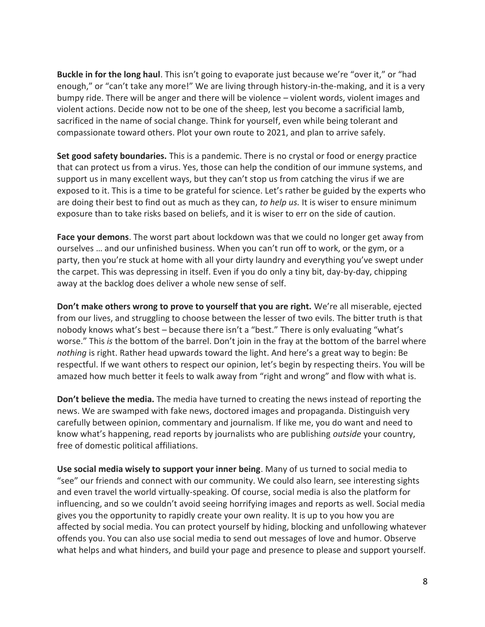**Buckle in for the long haul**. This isn't going to evaporate just because we're "over it," or "had enough," or "can't take any more!" We are living through history-in-the-making, and it is a very bumpy ride. There will be anger and there will be violence – violent words, violent images and violent actions. Decide now not to be one of the sheep, lest you become a sacrificial lamb, sacrificed in the name of social change. Think for yourself, even while being tolerant and compassionate toward others. Plot your own route to 2021, and plan to arrive safely.

**Set good safety boundaries.** This is a pandemic. There is no crystal or food or energy practice that can protect us from a virus. Yes, those can help the condition of our immune systems, and support us in many excellent ways, but they can't stop us from catching the virus if we are exposed to it. This is a time to be grateful for science. Let's rather be guided by the experts who are doing their best to find out as much as they can, *to help us.* It is wiser to ensure minimum exposure than to take risks based on beliefs, and it is wiser to err on the side of caution.

**Face your demons**. The worst part about lockdown was that we could no longer get away from ourselves … and our unfinished business. When you can't run off to work, or the gym, or a party, then you're stuck at home with all your dirty laundry and everything you've swept under the carpet. This was depressing in itself. Even if you do only a tiny bit, day-by-day, chipping away at the backlog does deliver a whole new sense of self.

**Don't make others wrong to prove to yourself that you are right.** We're all miserable, ejected from our lives, and struggling to choose between the lesser of two evils. The bitter truth is that nobody knows what's best – because there isn't a "best." There is only evaluating "what's worse." This *is* the bottom of the barrel. Don't join in the fray at the bottom of the barrel where *nothing* is right. Rather head upwards toward the light. And here's a great way to begin: Be respectful. If we want others to respect our opinion, let's begin by respecting theirs. You will be amazed how much better it feels to walk away from "right and wrong" and flow with what is.

**Don't believe the media.** The media have turned to creating the news instead of reporting the news. We are swamped with fake news, doctored images and propaganda. Distinguish very carefully between opinion, commentary and journalism. If like me, you do want and need to know what's happening, read reports by journalists who are publishing *outside* your country, free of domestic political affiliations.

**Use social media wisely to support your inner being**. Many of us turned to social media to "see" our friends and connect with our community. We could also learn, see interesting sights and even travel the world virtually-speaking. Of course, social media is also the platform for influencing, and so we couldn't avoid seeing horrifying images and reports as well. Social media gives you the opportunity to rapidly create your own reality. It is up to you how you are affected by social media. You can protect yourself by hiding, blocking and unfollowing whatever offends you. You can also use social media to send out messages of love and humor. Observe what helps and what hinders, and build your page and presence to please and support yourself.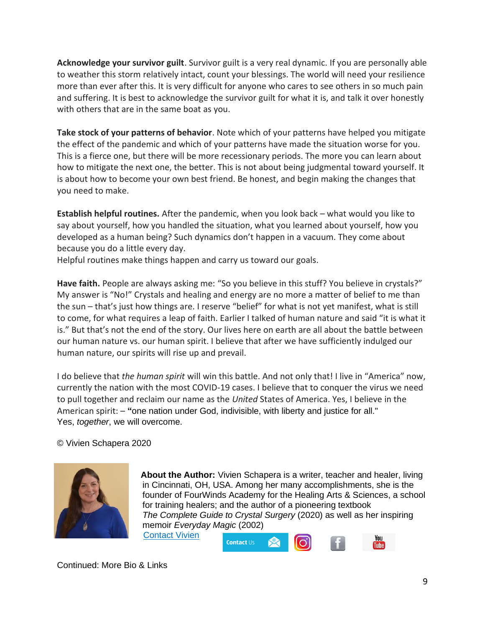**Acknowledge your survivor guilt**. Survivor guilt is a very real dynamic. If you are personally able to weather this storm relatively intact, count your blessings. The world will need your resilience more than ever after this. It is very difficult for anyone who cares to see others in so much pain and suffering. It is best to acknowledge the survivor guilt for what it is, and talk it over honestly with others that are in the same boat as you.

**Take stock of your patterns of behavior**. Note which of your patterns have helped you mitigate the effect of the pandemic and which of your patterns have made the situation worse for you. This is a fierce one, but there will be more recessionary periods. The more you can learn about how to mitigate the next one, the better. This is not about being judgmental toward yourself. It is about how to become your own best friend. Be honest, and begin making the changes that you need to make.

**Establish helpful routines.** After the pandemic, when you look back – what would you like to say about yourself, how you handled the situation, what you learned about yourself, how you developed as a human being? Such dynamics don't happen in a vacuum. They come about because you do a little every day.

Helpful routines make things happen and carry us toward our goals.

Have faith. People are always asking me: "So you believe in this stuff? You believe in crystals?" My answer is "No!" Crystals and healing and energy are no more a matter of belief to me than the sun – that's just how things are. I reserve "belief" for what is not yet manifest, what is still to come, for what requires a leap of faith. Earlier I talked of human nature and said "it is what it is." But that's not the end of the story. Our lives here on earth are all about the battle between our human nature vs. our human spirit. I believe that after we have sufficiently indulged our human nature, our spirits will rise up and prevail.

I do believe that *the human spirit* will win this battle. And not only that! I live in "America" now, currently the nation with the most COVID-19 cases. I believe that to conquer the virus we need to pull together and reclaim our name as the *United* States of America. Yes, I believe in the American spirit: – **"**one nation under God, indivisible, with liberty and justice for all." Yes, *together*, we will overcome.

**Contact Us** 

© Vivien Schapera 2020



 **About the Author:** Vivien Schapera is a writer, teacher and healer, living in Cincinnati, OH, USA. Among her many accomplishments, she is the founder of FourWinds Academy for the Healing Arts & Sciences, a school for training healers; and the author of a pioneering textbook *The Complete Guide to Crystal Surgery* (2020) as well as her inspiring memoir *Everyday Magic* (2002) [Contact Vivien](https://crystalhealingtechniques.com/contact/) You

Continued: More Bio & Links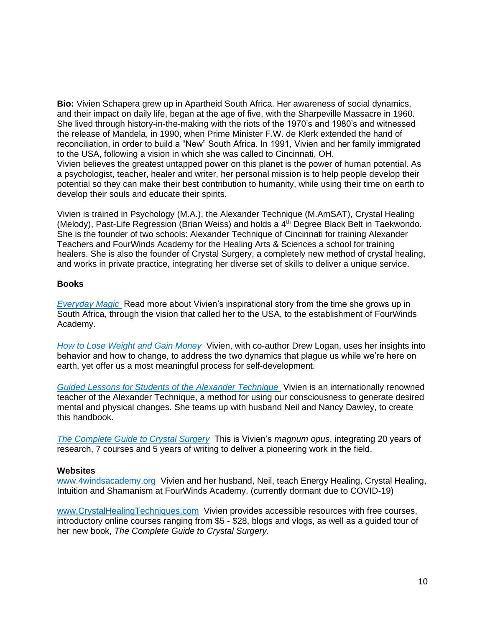**Bio:** Vivien Schapera grew up in Apartheid South Africa. Her awareness of social dynamics, and their impact on daily life, began at the age of five, with the Sharpeville Massacre in 1960. She lived through history-in-the-making with the riots of the 1970's and 1980's and witnessed the release of Mandela, in 1990, when Prime Minister F.W. de Klerk extended the hand of reconciliation, in order to build a "New" South Africa. In 1991, Vivien and her family immigrated to the USA, following a vision in which she was called to Cincinnati, OH. Vivien believes the greatest untapped power on this planet is the power of human potential. As a psychologist, teacher, healer and writer, her personal mission is to help people develop their potential so they can make their best contribution to humanity, while using their time on earth to develop their souls and educate their spirits.

Vivien is trained in Psychology (M.A.), the Alexander Technique (M.AmSAT), Crystal Healing (Melody), Past-Life Regression (Brian Weiss) and holds a 4<sup>th</sup> Degree Black Belt in Taekwondo. She is the founder of two schools: Alexander Technique of Cincinnati for training Alexander Teachers and FourWinds Academy for the Healing Arts & Sciences a school for training healers. She is also the founder of Crystal Surgery, a completely new method of crystal healing, and works in private practice, integrating her diverse set of skills to deliver a unique service.

#### **Books**

*[Everyday Magic](https://www.amazon.com/Everyday-Magic-Vivien-Singer-Schapera/dp/0970980922)* Read more about Vivien's inspirational story from the time she grows up in South Africa, through the vision that called her to the USA, to the establishment of FourWinds Academy.

*[How to Lose Weight and Gain Money](https://www.amazon.com/How-Lose-Weight-Gain-Money/dp/0970980957/ref=sr_1_3?dchild=1&keywords=How+to+Lose+Weight+and+Gain+Money&qid=1593696143&s=books&sr=1-3)* Vivien, with co-author Drew Logan, uses her insights into behavior and how to change, to address the two dynamics that plague us while we're here on earth, yet offer us a most meaningful process for self-development.

*[Guided Lessons for Students of the Alexander Technique](https://www.amazon.com/Guided-Lessons-Students-Alexander-Technique/dp/0970980965/ref=sr_1_1?crid=3LGVK2U5XUXWN&dchild=1&keywords=guided+lessons+for+students+of+the+alexander+technique&qid=1593433326&s=books&sprefix=Guided+Lesso%2Cstripbooks%2C129&sr=1-1)* Vivien is an internationally renowned teacher of the Alexander Technique, a method for using our consciousness to generate desired mental and physical changes. She teams up with husband Neil and Nancy Dawley, to create this handbook.

*[The Complete Guide to Crystal Surgery](https://crystalhealingtechniques.com/product/complete-guide-crystal-surgery/)* This is Vivien's *magnum opus*, integrating 20 years of research, 7 courses and 5 years of writing to deliver a pioneering work in the field.

#### **Websites**

[www.4windsacademy.org](http://www.4windsacademy.org/) Vivien and her husband, Neil, teach Energy Healing, Crystal Healing, Intuition and Shamanism at FourWinds Academy. (currently dormant due to COVID-19)

[www.CrystalHealingTechniques.com](http://www.crystalhealingtechniques.com/) Vivien provides accessible resources with free courses, introductory online courses ranging from \$5 - \$28, blogs and vlogs, as well as a guided tour of her new book, *The Complete Guide to Crystal Surgery.*